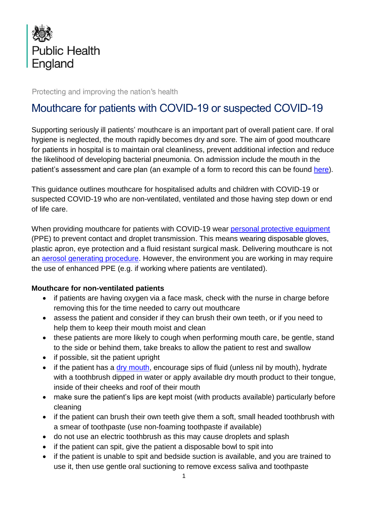

Protecting and improving the nation's health

# Mouthcare for patients with COVID-19 or suspected COVID-19

Supporting seriously ill patients' mouthcare is an important part of overall patient care. If oral hygiene is neglected, the mouth rapidly becomes dry and sore. The aim of good mouthcare for patients in hospital is to maintain oral cleanliness, prevent additional infection and reduce the likelihood of developing bacterial pneumonia. On admission include the mouth in the patient's assessment and care plan (an example of a form to record this can be found [here\)](http://mouthcarematters.51.143.169.215.xip.io/wp-content/uploads/sites/6/2017/02/Mouth-Care-Assessment-and-Recording-form-April-2018.pdf).

This guidance outlines mouthcare for hospitalised adults and children with COVID-19 or suspected COVID-19 who are non-ventilated, ventilated and those having step down or end of life care.

When providing mouthcare for patients with COVID-19 wear [personal protective equipment](https://www.gov.uk/government/publications/wuhan-novel-coronavirus-infection-prevention-and-control) (PPE) to prevent contact and droplet transmission. This means wearing disposable gloves, plastic apron, eye protection and a fluid resistant surgical mask. Delivering mouthcare is not an [aerosol generating procedure.](https://www.gov.uk/government/publications/wuhan-novel-coronavirus-infection-prevention-and-control/covid-19-personal-protective-equipment-ppe) However, the environment you are working in may require the use of enhanced PPE (e.g. if working where patients are ventilated).

#### **Mouthcare for non-ventilated patients**

- if patients are having oxygen via a face mask, check with the nurse in charge before removing this for the time needed to carry out mouthcare
- assess the patient and consider if they can brush their own teeth, or if you need to help them to keep their mouth moist and clean
- these patients are more likely to cough when performing mouth care, be gentle, stand to the side or behind them, take breaks to allow the patient to rest and swallow
- if possible, sit the patient upright
- if the patient has a [dry mouth,](https://www.youtube.com/watch?v=nKN6-HbZ_D8&list=PLrVQaAxyJE3eYeayCLSUFpxtkMxWmRo7L&t=0s&index=4) encourage sips of fluid (unless nil by mouth), hydrate with a toothbrush dipped in water or apply available dry mouth product to their tongue, inside of their cheeks and roof of their mouth
- make sure the patient's lips are kept moist (with products available) particularly before cleaning
- if the patient can brush their own teeth give them a soft, small headed toothbrush with a smear of toothpaste (use non-foaming toothpaste if available)
- do not use an electric toothbrush as this may cause droplets and splash
- if the patient can spit, give the patient a disposable bowl to spit into
- if the patient is unable to spit and bedside suction is available, and you are trained to use it, then use gentle oral suctioning to remove excess saliva and toothpaste